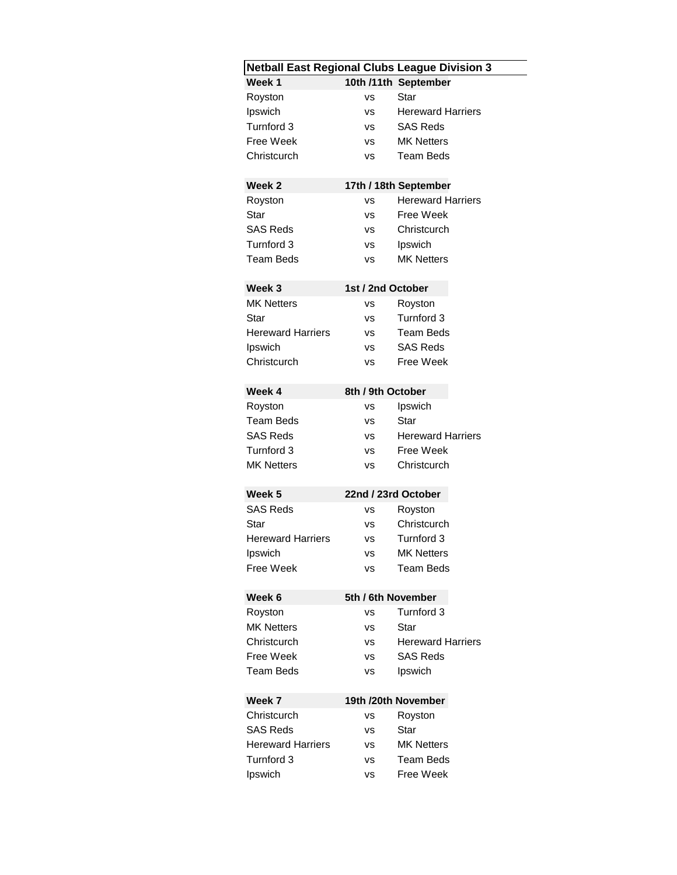| <b>Netball East Regional Clubs League Division 3</b> |                   |                          |  |  |  |
|------------------------------------------------------|-------------------|--------------------------|--|--|--|
| Week 1                                               |                   | 10th /11th September     |  |  |  |
| Royston                                              | VS                | Star                     |  |  |  |
| Ipswich                                              | vs                | <b>Hereward Harriers</b> |  |  |  |
| Turnford 3                                           | vs                | <b>SAS Reds</b>          |  |  |  |
| Free Week                                            | VS                | <b>MK Netters</b>        |  |  |  |
| Christcurch                                          | vs                | <b>Team Beds</b>         |  |  |  |
|                                                      |                   |                          |  |  |  |
| Week <sub>2</sub>                                    |                   | 17th / 18th September    |  |  |  |
| Royston                                              | vs                | <b>Hereward Harriers</b> |  |  |  |
| Star                                                 | vs                | Free Week                |  |  |  |
| <b>SAS Reds</b>                                      | <b>VS</b>         | Christcurch              |  |  |  |
| Turnford 3                                           | vs                | Ipswich                  |  |  |  |
| Team Beds                                            | vs                | <b>MK Netters</b>        |  |  |  |
| Week <sub>3</sub><br>1st / 2nd October               |                   |                          |  |  |  |
| <b>MK Netters</b>                                    | VS                | Royston                  |  |  |  |
| Star                                                 | VS                | Turnford 3               |  |  |  |
| Hereward Harriers                                    | <b>VS</b>         | Team Beds                |  |  |  |
| Ipswich                                              | VS                | <b>SAS Reds</b>          |  |  |  |
| Christcurch                                          | vs                | Free Week                |  |  |  |
|                                                      |                   |                          |  |  |  |
| Week 4                                               | 8th / 9th October |                          |  |  |  |
| Royston                                              | vs                | Ipswich                  |  |  |  |
| <b>Team Beds</b>                                     | VS                | Star                     |  |  |  |
| <b>SAS Reds</b>                                      | vs                | <b>Hereward Harriers</b> |  |  |  |
| Turnford 3                                           | vs                | Free Week                |  |  |  |
| <b>MK Netters</b>                                    | <b>VS</b>         | Christcurch              |  |  |  |
| Week <sub>5</sub>                                    |                   | 22nd / 23rd October      |  |  |  |
| <b>SAS Reds</b>                                      | vs                | Royston                  |  |  |  |
| Star                                                 | VS                | Christcurch              |  |  |  |
| <b>Hereward Harriers</b>                             | vs                | Turnford 3               |  |  |  |
| Ipswich                                              | <b>VS</b>         | <b>MK Netters</b>        |  |  |  |
| <b>Free Week</b>                                     | vs                | <b>Team Beds</b>         |  |  |  |
|                                                      |                   |                          |  |  |  |
| Week 6                                               |                   | 5th / 6th November       |  |  |  |
| Royston                                              | vs                | Turnford 3               |  |  |  |
| <b>MK Netters</b>                                    | vs                | Star                     |  |  |  |
| Christcurch                                          | vs                | <b>Hereward Harriers</b> |  |  |  |
| <b>Free Week</b>                                     | <b>VS</b>         | <b>SAS Reds</b>          |  |  |  |
| Team Beds                                            | vs                | Ipswich                  |  |  |  |
| 19th /20th November<br>Week 7                        |                   |                          |  |  |  |
| Christcurch                                          | vs                | Royston                  |  |  |  |
| <b>SAS Reds</b>                                      | vs                | Star                     |  |  |  |
| <b>Hereward Harriers</b>                             | vs                | <b>MK Netters</b>        |  |  |  |
| Turnford 3                                           | vs                | <b>Team Beds</b>         |  |  |  |
| Ipswich                                              | VS                | Free Week                |  |  |  |
|                                                      |                   |                          |  |  |  |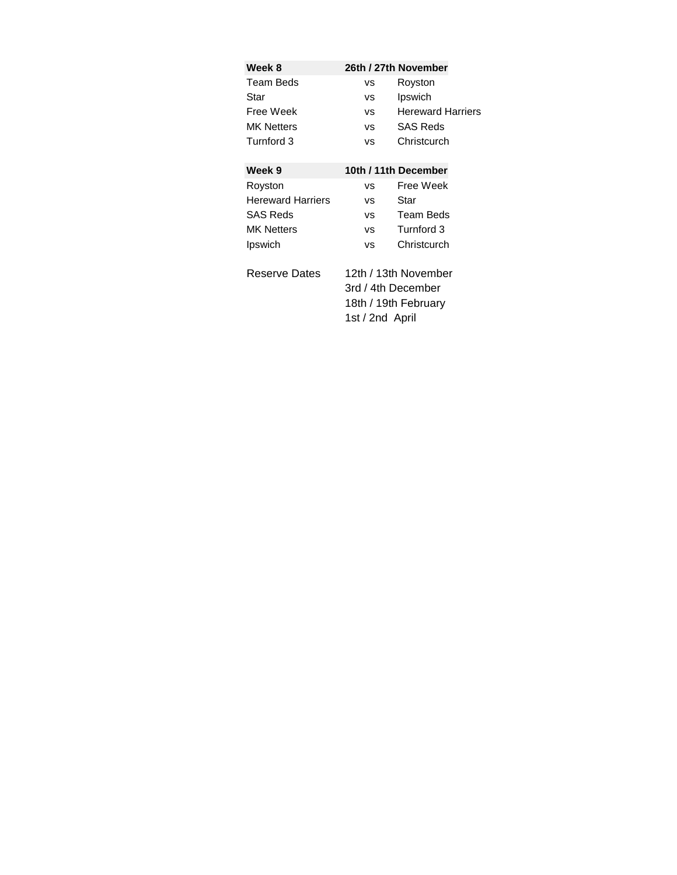| Week 8                   |                    | 26th / 27th November     |  |
|--------------------------|--------------------|--------------------------|--|
| Team Beds                | vs                 | Royston                  |  |
| Star                     | <b>VS</b>          | Ipswich                  |  |
| Free Week                | VS.                | <b>Hereward Harriers</b> |  |
| <b>MK Netters</b>        | VS.                | <b>SAS Reds</b>          |  |
| Turnford 3               | VS.                | Christcurch              |  |
| Week 9                   |                    | 10th / 11th December     |  |
| Royston                  | <b>VS</b>          | Free Week                |  |
| <b>Hereward Harriers</b> | <b>VS</b>          | Star                     |  |
| <b>SAS Reds</b>          | <b>VS</b>          | Team Beds                |  |
| <b>MK Netters</b>        | VS.                | Turnford 3               |  |
| Ipswich                  | VS.                | Christcurch              |  |
| Reserve Dates            |                    | 12th / 13th November     |  |
|                          | 3rd / 4th December |                          |  |
|                          |                    | 18th / 19th February     |  |
|                          | 1st / 2nd April    |                          |  |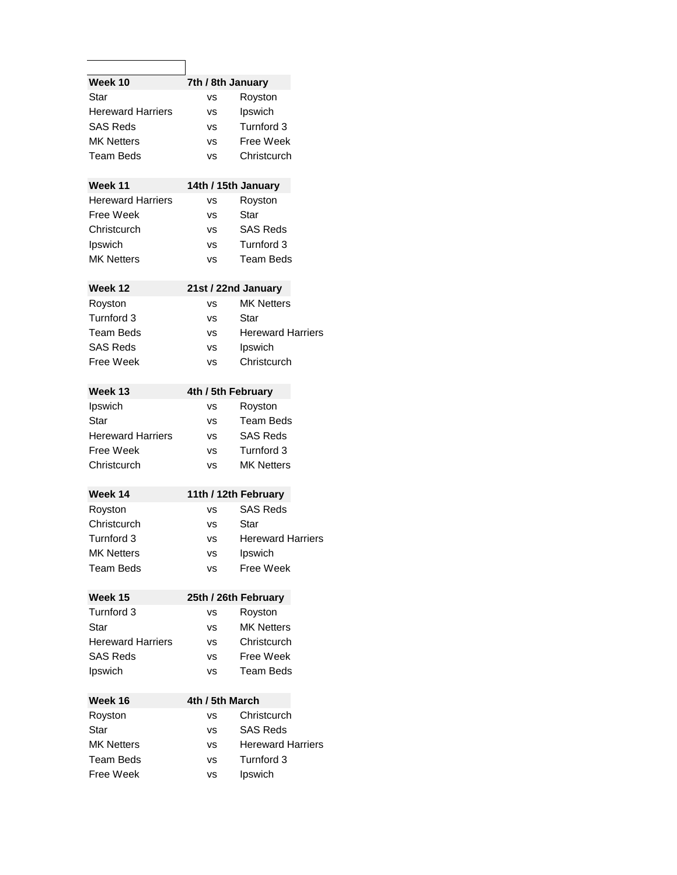| Week 10<br>7th / 8th January   |                                                                                                            |  |  |  |  |
|--------------------------------|------------------------------------------------------------------------------------------------------------|--|--|--|--|
| vs                             | Royston                                                                                                    |  |  |  |  |
| vs                             | Ipswich                                                                                                    |  |  |  |  |
| vs                             | Turnford 3                                                                                                 |  |  |  |  |
| vs                             | Free Week                                                                                                  |  |  |  |  |
| ٧S                             | Christcurch                                                                                                |  |  |  |  |
| Week 11<br>14th / 15th January |                                                                                                            |  |  |  |  |
| vs                             | Royston                                                                                                    |  |  |  |  |
| vs                             | Star                                                                                                       |  |  |  |  |
| <b>VS</b>                      | <b>SAS Reds</b>                                                                                            |  |  |  |  |
| <b>VS</b>                      | Turnford 3                                                                                                 |  |  |  |  |
| ٧S                             | Team Beds                                                                                                  |  |  |  |  |
| Week 12<br>21st / 22nd January |                                                                                                            |  |  |  |  |
| vs                             | <b>MK Netters</b>                                                                                          |  |  |  |  |
| <b>VS</b>                      | Star                                                                                                       |  |  |  |  |
|                                | <b>Hereward Harriers</b>                                                                                   |  |  |  |  |
|                                | Ipswich                                                                                                    |  |  |  |  |
|                                | Christcurch                                                                                                |  |  |  |  |
|                                |                                                                                                            |  |  |  |  |
| 4th / 5th February             |                                                                                                            |  |  |  |  |
| vs                             | Royston                                                                                                    |  |  |  |  |
| ٧S                             | <b>Team Beds</b>                                                                                           |  |  |  |  |
| <b>VS</b>                      | <b>SAS Reds</b>                                                                                            |  |  |  |  |
| <b>VS</b>                      | Turnford 3                                                                                                 |  |  |  |  |
| ٧S                             | <b>MK Netters</b>                                                                                          |  |  |  |  |
|                                | 11th / 12th February                                                                                       |  |  |  |  |
|                                | <b>SAS Reds</b>                                                                                            |  |  |  |  |
|                                | Star                                                                                                       |  |  |  |  |
|                                | Hereward Harriers                                                                                          |  |  |  |  |
|                                | Ipswich                                                                                                    |  |  |  |  |
| vs                             | Free Week                                                                                                  |  |  |  |  |
|                                |                                                                                                            |  |  |  |  |
|                                | Royston                                                                                                    |  |  |  |  |
|                                | <b>MK Netters</b>                                                                                          |  |  |  |  |
|                                | Christcurch                                                                                                |  |  |  |  |
|                                | Free Week                                                                                                  |  |  |  |  |
|                                |                                                                                                            |  |  |  |  |
|                                | Team Beds                                                                                                  |  |  |  |  |
| 4th / 5th March<br>Week 16     |                                                                                                            |  |  |  |  |
| ٧S                             | Christcurch                                                                                                |  |  |  |  |
| vs                             | <b>SAS Reds</b>                                                                                            |  |  |  |  |
| vs                             | <b>Hereward Harriers</b>                                                                                   |  |  |  |  |
| vs                             | Turnford 3                                                                                                 |  |  |  |  |
| ٧S                             | Ipswich                                                                                                    |  |  |  |  |
|                                | <b>VS</b><br>٧S<br>vs<br>vs<br><b>VS</b><br>٧S<br>vs<br>25th / 26th February<br>vs<br>vs<br>٧S<br>vs<br>vs |  |  |  |  |

٦